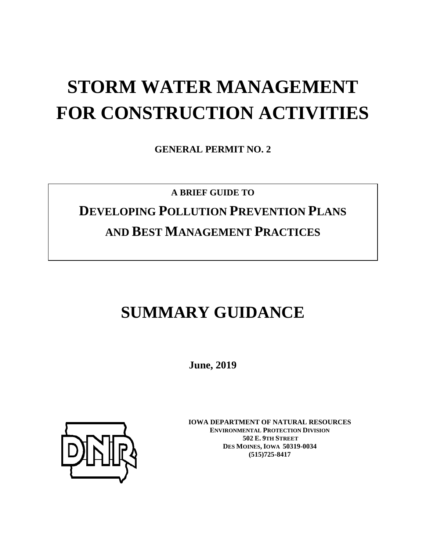# **STORM WATER MANAGEMENT FOR CONSTRUCTION ACTIVITIES**

**GENERAL PERMIT NO. 2**

## **A BRIEF GUIDE TO DEVELOPING POLLUTION PREVENTION PLANS AND BEST MANAGEMENT PRACTICES**

## **SUMMARY GUIDANCE**

**June, 2019**



**IOWA DEPARTMENT OF NATURAL RESOURCES ENVIRONMENTAL PROTECTION DIVISION 502 E. 9TH STREET DES MOINES, IOWA 50319-0034 (515)725-8417**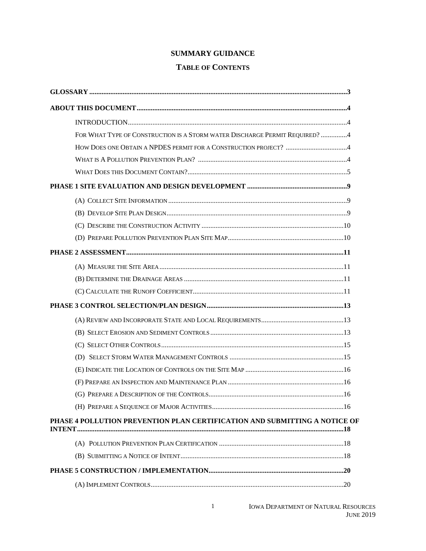### **SUMMARY GUIDANCE**

### **TABLE OF CONTENTS**

| FOR WHAT TYPE OF CONSTRUCTION IS A STORM WATER DISCHARGE PERMIT REQUIRED? 4 |
|-----------------------------------------------------------------------------|
|                                                                             |
|                                                                             |
|                                                                             |
|                                                                             |
|                                                                             |
|                                                                             |
|                                                                             |
|                                                                             |
|                                                                             |
|                                                                             |
|                                                                             |
|                                                                             |
|                                                                             |
|                                                                             |
|                                                                             |
|                                                                             |
|                                                                             |
|                                                                             |
|                                                                             |
|                                                                             |
|                                                                             |
| PHASE 4 POLLUTION PREVENTION PLAN CERTIFICATION AND SUBMITTING A NOTICE OF  |
|                                                                             |
|                                                                             |
|                                                                             |
|                                                                             |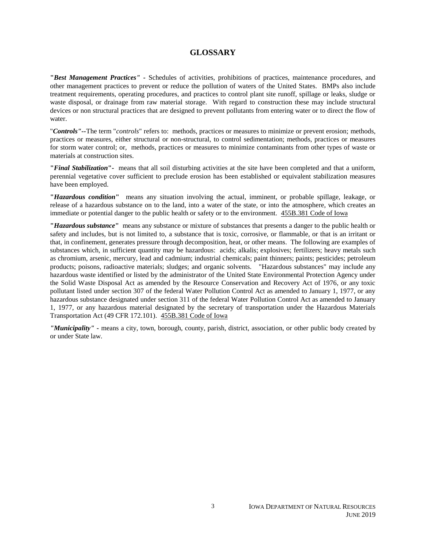### **GLOSSARY**

**"***Best Management Practices" -* Schedules of activities, prohibitions of practices, maintenance procedures, and other management practices to prevent or reduce the pollution of waters of the United States. BMPs also include treatment requirements, operating procedures, and practices to control plant site runoff, spillage or leaks, sludge or waste disposal, or drainage from raw material storage. With regard to construction these may include structural devices or non structural practices that are designed to prevent pollutants from entering water or to direct the flow of water.

"*Controls"--*The term "*controls*" refers to: methods, practices or measures to minimize or prevent erosion; methods, practices or measures, either structural or non-structural, to control sedimentation; methods, practices or measures for storm water control; or, methods, practices or measures to minimize contaminants from other types of waste or materials at construction sites.

**"***Final Stabilization***"-** means that all soil disturbing activities at the site have been completed and that a uniform, perennial vegetative cover sufficient to preclude erosion has been established or equivalent stabilization measures have been employed.

**"***Hazardous condition***"** means any situation involving the actual, imminent, or probable spillage, leakage, or release of a hazardous substance on to the land, into a water of the state, or into the atmosphere, which creates an immediate or potential danger to the public health or safety or to the environment. 455B.381 Code of Iowa

**"***Hazardous substance***"** means any substance or mixture of substances that presents a danger to the public health or safety and includes, but is not limited to, a substance that is toxic, corrosive, or flammable, or that is an irritant or that, in confinement, generates pressure through decomposition, heat, or other means. The following are examples of substances which, in sufficient quantity may be hazardous: acids; alkalis; explosives; fertilizers; heavy metals such as chromium, arsenic, mercury, lead and cadmium; industrial chemicals; paint thinners; paints; pesticides; petroleum products; poisons, radioactive materials; sludges; and organic solvents. "Hazardous substances" may include any hazardous waste identified or listed by the administrator of the United State Environmental Protection Agency under the Solid Waste Disposal Act as amended by the Resource Conservation and Recovery Act of 1976, or any toxic pollutant listed under section 307 of the federal Water Pollution Control Act as amended to January 1, 1977, or any hazardous substance designated under section 311 of the federal Water Pollution Control Act as amended to January 1, 1977, or any hazardous material designated by the secretary of transportation under the Hazardous Materials Transportation Act (49 CFR 172.101). 455B.381 Code of Iowa

*"Municipality"* **-** means a city, town, borough, county, parish, district, association, or other public body created by or under State law.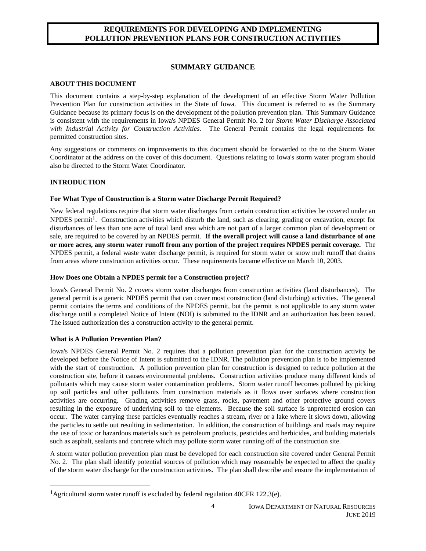### **REQUIREMENTS FOR DEVELOPING AND IMPLEMENTING POLLUTION PREVENTION PLANS FOR CONSTRUCTION ACTIVITIES**

### **SUMMARY GUIDANCE**

### **ABOUT THIS DOCUMENT**

This document contains a step-by-step explanation of the development of an effective Storm Water Pollution Prevention Plan for construction activities in the State of Iowa. This document is referred to as the Summary Guidance because its primary focus is on the development of the pollution prevention plan. This Summary Guidance is consistent with the requirements in Iowa's NPDES General Permit No. 2 for *Storm Water Discharge Associated with Industrial Activity for Construction Activities.* The General Permit contains the legal requirements for permitted construction sites.

Any suggestions or comments on improvements to this document should be forwarded to the to the Storm Water Coordinator at the address on the cover of this document. Questions relating to Iowa's storm water program should also be directed to the Storm Water Coordinator.

### **INTRODUCTION**

### **For What Type of Construction is a Storm water Discharge Permit Required?**

New federal regulations require that storm water discharges from certain construction activities be covered under an  $NPDES$  permit<sup>1</sup>. Construction activities which disturb the land, such as clearing, grading or excavation, except for disturbances of less than one acre of total land area which are not part of a larger common plan of development or sale, are required to be covered by an NPDES permit. **If the overall project will cause a land disturbance of one or more acres, any storm water runoff from any portion of the project requires NPDES permit coverage.** The NPDES permit, a federal waste water discharge permit, is required for storm water or snow melt runoff that drains from areas where construction activities occur. These requirements became effective on March 10, 2003.

#### **How Does one Obtain a NPDES permit for a Construction project?**

Iowa's General Permit No. 2 covers storm water discharges from construction activities (land disturbances). The general permit is a generic NPDES permit that can cover most construction (land disturbing) activities. The general permit contains the terms and conditions of the NPDES permit, but the permit is not applicable to any storm water discharge until a completed Notice of Intent (NOI) is submitted to the IDNR and an authorization has been issued. The issued authorization ties a construction activity to the general permit.

### **What is A Pollution Prevention Plan?**

 $\overline{a}$ 

Iowa's NPDES General Permit No. 2 requires that a pollution prevention plan for the construction activity be developed before the Notice of Intent is submitted to the IDNR. The pollution prevention plan is to be implemented with the start of construction. A pollution prevention plan for construction is designed to reduce pollution at the construction site, before it causes environmental problems. Construction activities produce many different kinds of pollutants which may cause storm water contamination problems. Storm water runoff becomes polluted by picking up soil particles and other pollutants from construction materials as it flows over surfaces where construction activities are occurring. Grading activities remove grass, rocks, pavement and other protective ground covers resulting in the exposure of underlying soil to the elements. Because the soil surface is unprotected erosion can occur. The water carrying these particles eventually reaches a stream, river or a lake where it slows down, allowing the particles to settle out resulting in sedimentation. In addition, the construction of buildings and roads may require the use of toxic or hazardous materials such as petroleum products, pesticides and herbicides, and building materials such as asphalt, sealants and concrete which may pollute storm water running off of the construction site.

A storm water pollution prevention plan must be developed for each construction site covered under General Permit No. 2. The plan shall identify potential sources of pollution which may reasonably be expected to affect the quality of the storm water discharge for the construction activities. The plan shall describe and ensure the implementation of

<sup>&</sup>lt;sup>1</sup>Agricultural storm water runoff is excluded by federal regulation 40CFR 122.3(e).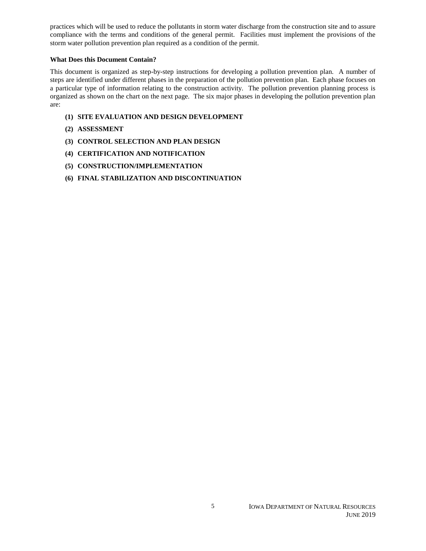practices which will be used to reduce the pollutants in storm water discharge from the construction site and to assure compliance with the terms and conditions of the general permit. Facilities must implement the provisions of the storm water pollution prevention plan required as a condition of the permit.

### **What Does this Document Contain?**

This document is organized as step-by-step instructions for developing a pollution prevention plan. A number of steps are identified under different phases in the preparation of the pollution prevention plan. Each phase focuses on a particular type of information relating to the construction activity. The pollution prevention planning process is organized as shown on the chart on the next page. The six major phases in developing the pollution prevention plan are:

- **(1) SITE EVALUATION AND DESIGN DEVELOPMENT**
- **(2) ASSESSMENT**
- **(3) CONTROL SELECTION AND PLAN DESIGN**
- **(4) CERTIFICATION AND NOTIFICATION**
- **(5) CONSTRUCTION/IMPLEMENTATION**
- **(6) FINAL STABILIZATION AND DISCONTINUATION**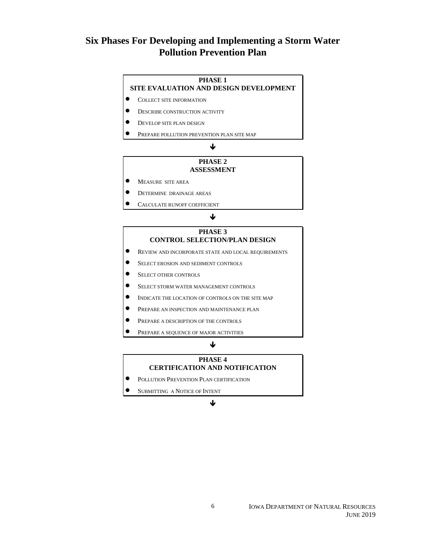### **Six Phases For Developing and Implementing a Storm Water Pollution Prevention Plan**

### **PHASE 1**

**SITE EVALUATION AND DESIGN DEVELOPMENT**

- $\bullet$  COLLECT SITE INFORMATION
- **DESCRIBE CONSTRUCTION ACTIVITY**
- **DEVELOP SITE PLAN DESIGN**
- <sup>P</sup>REPARE POLLUTION PREVENTION PLAN SITE MAP

### ↓

### **PHASE 2 ASSESSMENT**

- **O** MEASURE SITE AREA
- **DETERMINE DRAINAGE AREAS**
- <sup>C</sup>ALCULATE RUNOFF COEFFICIENT

#### ↓

### **PHASE 3 CONTROL SELECTION/PLAN DESIGN**

- <sup>R</sup>EVIEW AND INCORPORATE STATE AND LOCAL REQUIREMENTS
- **SELECT EROSION AND SEDIMENT CONTROLS**
- **SELECT OTHER CONTROLS**
- **SELECT STORM WATER MANAGEMENT CONTROLS**
- <sup>I</sup>NDICATE THE LOCATION OF CONTROLS ON THE SITE MAP
- <sup>P</sup>REPARE AN INSPECTION AND MAINTENANCE PLAN
- **PREPARE A DESCRIPTION OF THE CONTROLS**
- <sup>P</sup>REPARE A SEQUENCE OF MAJOR ACTIVITIES

#### ↓

#### **PHASE 4 CERTIFICATION AND NOTIFICATION**

- <sup>P</sup>OLLUTION PREVENTION PLAN CERTIFICATION
	- <sup>S</sup>UBMITTING A NOTICE OF INTENT

#### J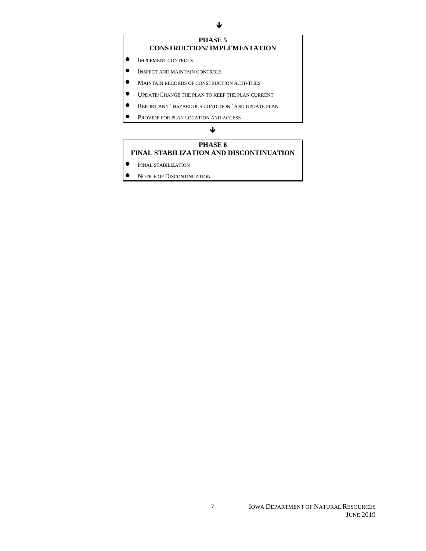### **PHASE 5 CONSTRUCTION/ IMPLEMENTATION**

- $\bullet$  IMPLEMENT CONTROLS
- $\bullet$  INSPECT AND MAINTAIN CONTROLS
- $\bullet$  MAINTAIN RECORDS OF CONSTRUCTION ACTIVITIES
- <sup>U</sup>PDATE/CHANGE THE PLAN TO KEEP THE PLAN CURRENT
- <sup>R</sup>EPORT ANY "HAZARDOUS CONDITION" AND UPDATE PLAN
- **PROVIDE FOR PLAN LOCATION AND ACCESS**

### $\downarrow$

### **PHASE 6 FINAL STABILIZATION AND DISCONTINUATION**

- **•** FINAL STABILIZATION
- **NOTICE OF DISCONTINUATION**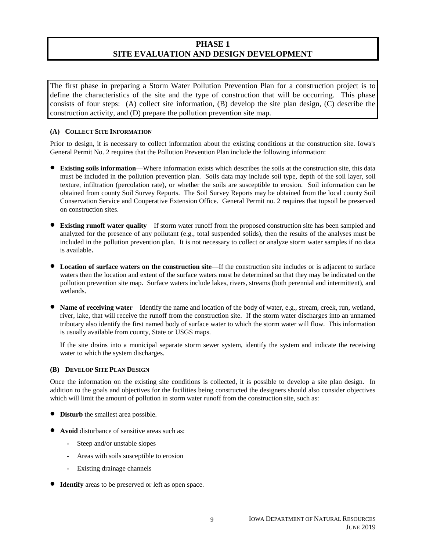### **PHASE 1 SITE EVALUATION AND DESIGN DEVELOPMENT**

The first phase in preparing a Storm Water Pollution Prevention Plan for a construction project is to define the characteristics of the site and the type of construction that will be occurring. This phase consists of four steps: (A) collect site information, (B) develop the site plan design, (C) describe the construction activity, and (D) prepare the pollution prevention site map.

### **(A) COLLECT SITE INFORMATION**

Prior to design, it is necessary to collect information about the existing conditions at the construction site. Iowa's General Permit No. 2 requires that the Pollution Prevention Plan include the following information:

- **Existing soils information**—Where information exists which describes the soils at the construction site, this data must be included in the pollution prevention plan. Soils data may include soil type, depth of the soil layer, soil texture, infiltration (percolation rate), or whether the soils are susceptible to erosion. Soil information can be obtained from county Soil Survey Reports. The Soil Survey Reports may be obtained from the local county Soil Conservation Service and Cooperative Extension Office. General Permit no. 2 requires that topsoil be preserved on construction sites.
- **Existing runoff water quality**—If storm water runoff from the proposed construction site has been sampled and analyzed for the presence of any pollutant (e.g., total suspended solids), then the results of the analyses must be included in the pollution prevention plan. It is not necessary to collect or analyze storm water samples if no data is available**.**
- **Location of surface waters on the construction site**—If the construction site includes or is adjacent to surface waters then the location and extent of the surface waters must be determined so that they may be indicated on the pollution prevention site map. Surface waters include lakes, rivers, streams (both perennial and intermittent), and wetlands.
- **Name of receiving water**—Identify the name and location of the body of water, e.g., stream, creek, run, wetland, river, lake, that will receive the runoff from the construction site. If the storm water discharges into an unnamed tributary also identify the first named body of surface water to which the storm water will flow. This information is usually available from county, State or USGS maps.

If the site drains into a municipal separate storm sewer system, identify the system and indicate the receiving water to which the system discharges.

#### **(B) DEVELOP SITE PLAN DESIGN**

Once the information on the existing site conditions is collected, it is possible to develop a site plan design. In addition to the goals and objectives for the facilities being constructed the designers should also consider objectives which will limit the amount of pollution in storm water runoff from the construction site, such as:

- **Disturb** the smallest area possible.
- **Avoid** disturbance of sensitive areas such as:
	- **-** Steep and/or unstable slopes
	- **-** Areas with soils susceptible to erosion
	- **-** Existing drainage channels
- **Identify** areas to be preserved or left as open space.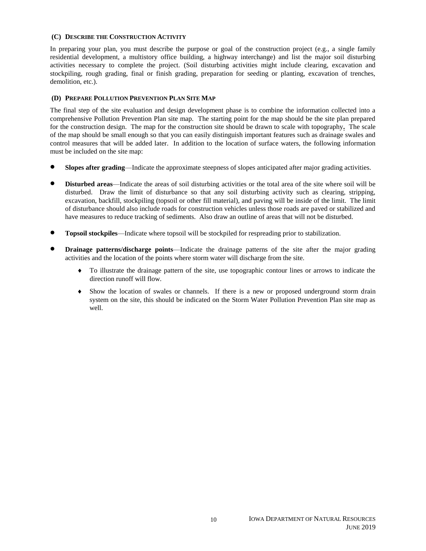#### **(C) DESCRIBE THE CONSTRUCTION ACTIVITY**

In preparing your plan, you must describe the purpose or goal of the construction project (e.g., a single family residential development, a multistory office building, a highway interchange) and list the major soil disturbing activities necessary to complete the project. (Soil disturbing activities might include clearing, excavation and stockpiling, rough grading, final or finish grading, preparation for seeding or planting, excavation of trenches, demolition, etc.).

### **(D) PREPARE POLLUTION PREVENTION PLAN SITE MAP**

The final step of the site evaluation and design development phase is to combine the information collected into a comprehensive Pollution Prevention Plan site map. The starting point for the map should be the site plan prepared for the construction design. The map for the construction site should be drawn to scale with topography**.** The scale of the map should be small enough so that you can easily distinguish important features such as drainage swales and control measures that will be added later. In addition to the location of surface waters, the following information must be included on the site map:

- **Slopes after grading**—Indicate the approximate steepness of slopes anticipated after major grading activities.
- **Disturbed areas**—Indicate the areas of soil disturbing activities or the total area of the site where soil will be disturbed. Draw the limit of disturbance so that any soil disturbing activity such as clearing, stripping, excavation, backfill, stockpiling (topsoil or other fill material), and paving will be inside of the limit. The limit of disturbance should also include roads for construction vehicles unless those roads are paved or stabilized and have measures to reduce tracking of sediments. Also draw an outline of areas that will not be disturbed.
- **Topsoil stockpiles**—Indicate where topsoil will be stockpiled for respreading prior to stabilization.
- **Drainage patterns/discharge points**—Indicate the drainage patterns of the site after the major grading activities and the location of the points where storm water will discharge from the site.
	- To illustrate the drainage pattern of the site, use topographic contour lines or arrows to indicate the direction runoff will flow.
	- Show the location of swales or channels. If there is a new or proposed underground storm drain system on the site, this should be indicated on the Storm Water Pollution Prevention Plan site map as well.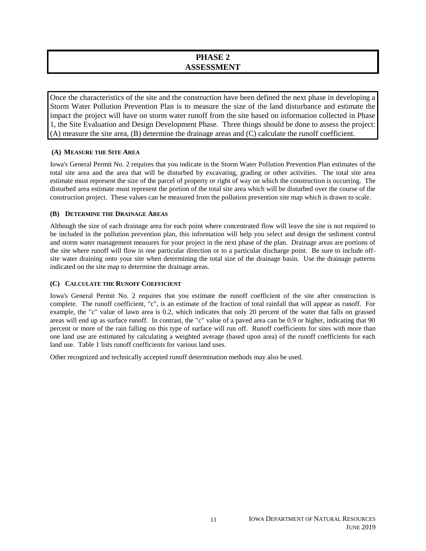### **PHASE 2 ASSESSMENT**

Once the characteristics of the site and the construction have been defined the next phase in developing a Storm Water Pollution Prevention Plan is to measure the size of the land disturbance and estimate the impact the project will have on storm water runoff from the site based on information collected in Phase 1, the Site Evaluation and Design Development Phase. Three things should be done to assess the project: (A) measure the site area, (B) determine the drainage areas and (C) calculate the runoff coefficient.

### **(A) MEASURE THE SITE AREA**

Iowa's General Permit No. 2 requires that you indicate in the Storm Water Pollution Prevention Plan estimates of the total site area and the area that will be disturbed by excavating, grading or other activities. The total site area estimate must represent the size of the parcel of property or right of way on which the construction is occurring. The disturbed area estimate must represent the portion of the total site area which will be disturbed over the course of the construction project. These values can be measured from the pollution prevention site map which is drawn to scale.

### **(B) DETERMINE THE DRAINAGE AREAS**

Although the size of each drainage area for each point where concentrated flow will leave the site is not required to be included in the pollution prevention plan, this information will help you select and design the sediment control and storm water management measures for your project in the next phase of the plan. Drainage areas are portions of the site where runoff will flow in one particular direction or to a particular discharge point. Be sure to include offsite water draining onto your site when determining the total size of the drainage basin. Use the drainage patterns indicated on the site map to determine the drainage areas.

### **(C) CALCULATE THE RUNOFF COEFFICIENT**

Iowa's General Permit No. 2 requires that you estimate the runoff coefficient of the site after construction is complete. The runoff coefficient, "c", is an estimate of the fraction of total rainfall that will appear as runoff. For example, the "c" value of lawn area is 0.2, which indicates that only 20 percent of the water that falls on grassed areas will end up as surface runoff. In contrast, the "c" value of a paved area can be 0.9 or higher, indicating that 90 percent or more of the rain falling on this type of surface will run off. Runoff coefficients for sites with more than one land use are estimated by calculating a weighted average (based upon area) of the runoff coefficients for each land use. Table 1 lists runoff coefficients for various land uses.

Other recognized and technically accepted runoff determination methods may also be used.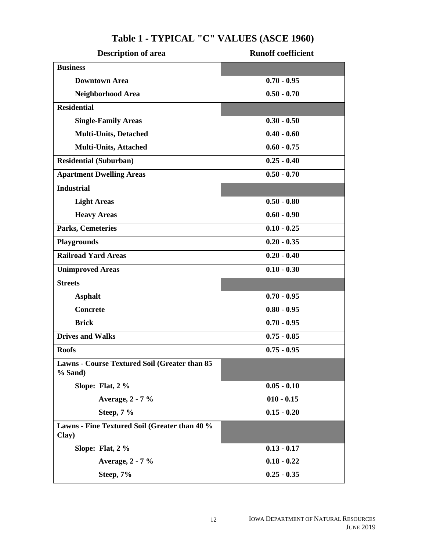| Description of area                                        | <b>Runoff coefficient</b> |
|------------------------------------------------------------|---------------------------|
| <b>Business</b>                                            |                           |
| <b>Downtown Area</b>                                       | $0.70 - 0.95$             |
| Neighborhood Area                                          | $0.50 - 0.70$             |
| <b>Residential</b>                                         |                           |
| <b>Single-Family Areas</b>                                 | $0.30 - 0.50$             |
| <b>Multi-Units, Detached</b>                               | $0.40 - 0.60$             |
| <b>Multi-Units, Attached</b>                               | $0.60 - 0.75$             |
| <b>Residential (Suburban)</b>                              | $0.25 - 0.40$             |
| <b>Apartment Dwelling Areas</b>                            | $0.50 - 0.70$             |
| <b>Industrial</b>                                          |                           |
| <b>Light Areas</b>                                         | $0.50 - 0.80$             |
| <b>Heavy Areas</b>                                         | $0.60 - 0.90$             |
| Parks, Cemeteries                                          | $0.10 - 0.25$             |
| <b>Playgrounds</b>                                         | $0.20 - 0.35$             |
| <b>Railroad Yard Areas</b>                                 | $0.20 - 0.40$             |
| <b>Unimproved Areas</b>                                    | $0.10 - 0.30$             |
| <b>Streets</b>                                             |                           |
| <b>Asphalt</b>                                             | $0.70 - 0.95$             |
| <b>Concrete</b>                                            | $0.80 - 0.95$             |
| <b>Brick</b>                                               | $0.70 - 0.95$             |
| <b>Drives and Walks</b>                                    | $0.75 - 0.85$             |
| <b>Roofs</b>                                               | $0.75 - 0.95$             |
| Lawns - Course Textured Soil (Greater than 85<br>$%$ Sand) |                           |
| Slope: Flat, 2 %                                           | $0.05 - 0.10$             |
| Average, 2 - 7 %                                           | $010 - 0.15$              |
| Steep, 7 %                                                 | $0.15 - 0.20$             |
| Lawns - Fine Textured Soil (Greater than 40 %<br>Clay)     |                           |
| Slope: Flat, 2 %                                           | $0.13 - 0.17$             |
| Average, 2 - 7 %                                           | $0.18 - 0.22$             |
| Steep, 7%                                                  | $0.25 - 0.35$             |

### **Table 1 - TYPICAL "C" VALUES (ASCE 1960)**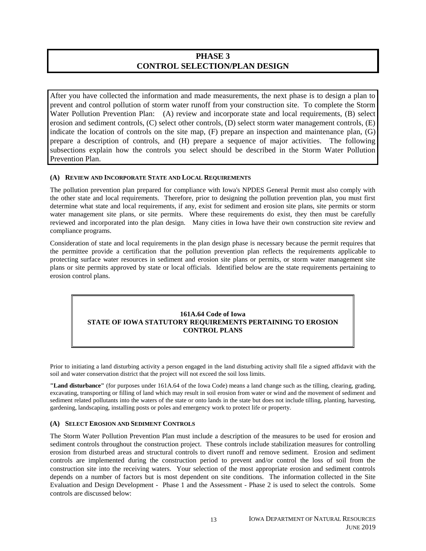### **PHASE 3 CONTROL SELECTION/PLAN DESIGN**

After you have collected the information and made measurements, the next phase is to design a plan to prevent and control pollution of storm water runoff from your construction site. To complete the Storm Water Pollution Prevention Plan: (A) review and incorporate state and local requirements, (B) select erosion and sediment controls, (C) select other controls, (D) select storm water management controls, (E) indicate the location of controls on the site map, (F) prepare an inspection and maintenance plan, (G) prepare a description of controls, and (H) prepare a sequence of major activities. The following subsections explain how the controls you select should be described in the Storm Water Pollution Prevention Plan.

### **(A) REVIEW AND INCORPORATE STATE AND LOCAL REQUIREMENTS**

The pollution prevention plan prepared for compliance with Iowa's NPDES General Permit must also comply with the other state and local requirements. Therefore, prior to designing the pollution prevention plan, you must first determine what state and local requirements, if any, exist for sediment and erosion site plans, site permits or storm water management site plans, or site permits. Where these requirements do exist, they then must be carefully reviewed and incorporated into the plan design. Many cities in Iowa have their own construction site review and compliance programs.

Consideration of state and local requirements in the plan design phase is necessary because the permit requires that the permittee provide a certification that the pollution prevention plan reflects the requirements applicable to protecting surface water resources in sediment and erosion site plans or permits, or storm water management site plans or site permits approved by state or local officials. Identified below are the state requirements pertaining to erosion control plans.

### **161A.64 Code of Iowa STATE OF IOWA STATUTORY REQUIREMENTS PERTAINING TO EROSION CONTROL PLANS**

Prior to initiating a land disturbing activity a person engaged in the land disturbing activity shall file a signed affidavit with the soil and water conservation district that the project will not exceed the soil loss limits.

**"Land disturbance"** (for purposes under 161A.64 of the Iowa Code) means a land change such as the tilling, clearing, grading, excavating, transporting or filling of land which may result in soil erosion from water or wind and the movement of sediment and sediment related pollutants into the waters of the state or onto lands in the state but does not include tilling, planting, harvesting, gardening, landscaping, installing posts or poles and emergency work to protect life or property.

### **(A) SELECT EROSION AND SEDIMENT CONTROLS**

The Storm Water Pollution Prevention Plan must include a description of the measures to be used for erosion and sediment controls throughout the construction project. These controls include stabilization measures for controlling erosion from disturbed areas and structural controls to divert runoff and remove sediment. Erosion and sediment controls are implemented during the construction period to prevent and/or control the loss of soil from the construction site into the receiving waters. Your selection of the most appropriate erosion and sediment controls depends on a number of factors but is most dependent on site conditions. The information collected in the Site Evaluation and Design Development - Phase 1 and the Assessment - Phase 2 is used to select the controls. Some controls are discussed below: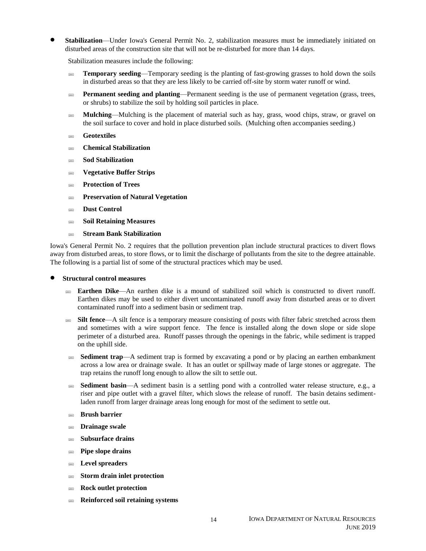**Stabilization**—Under Iowa's General Permit No. 2, stabilization measures must be immediately initiated on disturbed areas of the construction site that will not be re-disturbed for more than 14 days.

Stabilization measures include the following:

- **Temporary seeding—Temporary seeding is the planting of fast-growing grasses to hold down the soils** in disturbed areas so that they are less likely to be carried off-site by storm water runoff or wind.
- **Permanent seeding and planting—Permanent seeding is the use of permanent vegetation (grass, trees,** or shrubs) to stabilize the soil by holding soil particles in place.
- **Mulching**—Mulching is the placement of material such as hay, grass, wood chips, straw, or gravel on the soil surface to cover and hold in place disturbed soils. (Mulching often accompanies seeding.)
- **Geotextiles**
- **Chemical Stabilization**
- **Sod Stabilization**
- **Vegetative Buffer Strips**
- **Protection of Trees**
- **Preservation of Natural Vegetation**
- **Dust Control**
- **Soil Retaining Measures**
- **Stream Bank Stabilization**

Iowa's General Permit No. 2 requires that the pollution prevention plan include structural practices to divert flows away from disturbed areas, to store flows, or to limit the discharge of pollutants from the site to the degree attainable. The following is a partial list of some of the structural practices which may be used.

- **Structural control measures**
	- **Earthen Dike**—An earthen dike is a mound of stabilized soil which is constructed to divert runoff. Earthen dikes may be used to either divert uncontaminated runoff away from disturbed areas or to divert contaminated runoff into a sediment basin or sediment trap.
	- **Silt fence—A** silt fence is a temporary measure consisting of posts with filter fabric stretched across them and sometimes with a wire support fence. The fence is installed along the down slope or side slope perimeter of a disturbed area. Runoff passes through the openings in the fabric, while sediment is trapped on the uphill side.
	- **Sediment trap**—A sediment trap is formed by excavating a pond or by placing an earthen embankment across a low area or drainage swale. It has an outlet or spillway made of large stones or aggregate. The trap retains the runoff long enough to allow the silt to settle out.
	- **Sediment basin**—A sediment basin is a settling pond with a controlled water release structure, e.g., a riser and pipe outlet with a gravel filter, which slows the release of runoff. The basin detains sedimentladen runoff from larger drainage areas long enough for most of the sediment to settle out.
	- **Brush barrier**
	- **Drainage swale**
	- **Subsurface drains**
	- **Pipe slope drains**
	- **Level spreaders**
	- **Storm drain inlet protection**
	- **Rock outlet protection**
	- **Reinforced soil retaining systems**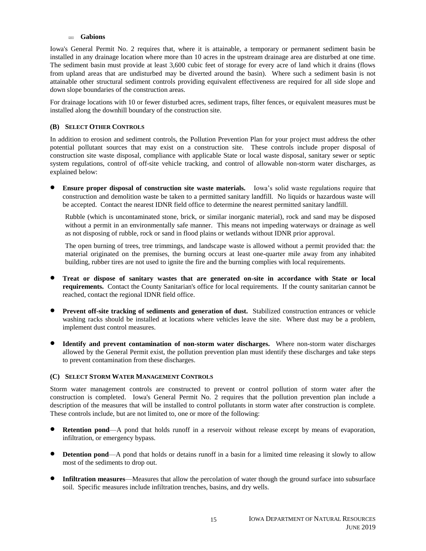#### **Gabions**

Iowa's General Permit No. 2 requires that, where it is attainable, a temporary or permanent sediment basin be installed in any drainage location where more than 10 acres in the upstream drainage area are disturbed at one time. The sediment basin must provide at least 3,600 cubic feet of storage for every acre of land which it drains (flows from upland areas that are undisturbed may be diverted around the basin). Where such a sediment basin is not attainable other structural sediment controls providing equivalent effectiveness are required for all side slope and down slope boundaries of the construction areas.

For drainage locations with 10 or fewer disturbed acres, sediment traps, filter fences, or equivalent measures must be installed along the downhill boundary of the construction site.

#### **(B) SELECT OTHER CONTROLS**

In addition to erosion and sediment controls, the Pollution Prevention Plan for your project must address the other potential pollutant sources that may exist on a construction site. These controls include proper disposal of construction site waste disposal, compliance with applicable State or local waste disposal, sanitary sewer or septic system regulations, control of off-site vehicle tracking, and control of allowable non-storm water discharges, as explained below:

 **Ensure proper disposal of construction site waste materials.** Iowa's solid waste regulations require that construction and demolition waste be taken to a permitted sanitary landfill. No liquids or hazardous waste will be accepted. Contact the nearest IDNR field office to determine the nearest permitted sanitary landfill.

Rubble (which is uncontaminated stone, brick, or similar inorganic material), rock and sand may be disposed without a permit in an environmentally safe manner. This means not impeding waterways or drainage as well as not disposing of rubble, rock or sand in flood plains or wetlands without IDNR prior approval.

The open burning of trees, tree trimmings, and landscape waste is allowed without a permit provided that: the material originated on the premises, the burning occurs at least one-quarter mile away from any inhabited building, rubber tires are not used to ignite the fire and the burning complies with local requirements.

- **Treat or dispose of sanitary wastes that are generated on-site in accordance with State or local requirements.** Contact the County Sanitarian's office for local requirements. If the county sanitarian cannot be reached, contact the regional IDNR field office.
- **Prevent off-site tracking of sediments and generation of dust.** Stabilized construction entrances or vehicle washing racks should be installed at locations where vehicles leave the site. Where dust may be a problem, implement dust control measures.
- **Identify and prevent contamination of non-storm water discharges.** Where non-storm water discharges allowed by the General Permit exist, the pollution prevention plan must identify these discharges and take steps to prevent contamination from these discharges.

#### **(C) SELECT STORM WATER MANAGEMENT CONTROLS**

Storm water management controls are constructed to prevent or control pollution of storm water after the construction is completed. Iowa's General Permit No. 2 requires that the pollution prevention plan include a description of the measures that will be installed to control pollutants in storm water after construction is complete. These controls include, but are not limited to, one or more of the following:

- **Retention pond—A** pond that holds runoff in a reservoir without release except by means of evaporation, infiltration, or emergency bypass.
- **Detention pond—A** pond that holds or detains runoff in a basin for a limited time releasing it slowly to allow most of the sediments to drop out.
- **Infiltration measures**—Measures that allow the percolation of water though the ground surface into subsurface soil. Specific measures include infiltration trenches, basins, and dry wells.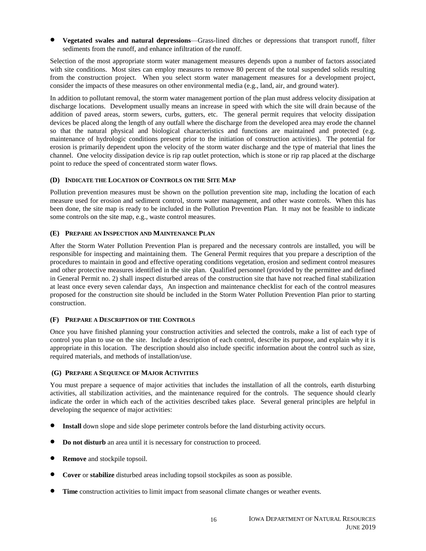**Vegetated swales and natural depressions**—Grass-lined ditches or depressions that transport runoff, filter sediments from the runoff, and enhance infiltration of the runoff.

Selection of the most appropriate storm water management measures depends upon a number of factors associated with site conditions. Most sites can employ measures to remove 80 percent of the total suspended solids resulting from the construction project. When you select storm water management measures for a development project, consider the impacts of these measures on other environmental media (e.g., land, air, and ground water).

In addition to pollutant removal, the storm water management portion of the plan must address velocity dissipation at discharge locations. Development usually means an increase in speed with which the site will drain because of the addition of paved areas, storm sewers, curbs, gutters, etc. The general permit requires that velocity dissipation devices be placed along the length of any outfall where the discharge from the developed area may erode the channel so that the natural physical and biological characteristics and functions are maintained and protected (e.g. maintenance of hydrologic conditions present prior to the initiation of construction activities). The potential for erosion is primarily dependent upon the velocity of the storm water discharge and the type of material that lines the channel. One velocity dissipation device is rip rap outlet protection, which is stone or rip rap placed at the discharge point to reduce the speed of concentrated storm water flows.

### **(D) INDICATE THE LOCATION OF CONTROLS ON THE SITE MAP**

Pollution prevention measures must be shown on the pollution prevention site map, including the location of each measure used for erosion and sediment control, storm water management, and other waste controls. When this has been done, the site map is ready to be included in the Pollution Prevention Plan. It may not be feasible to indicate some controls on the site map, e.g., waste control measures.

### **(E) PREPARE AN INSPECTION AND MAINTENANCE PLAN**

After the Storm Water Pollution Prevention Plan is prepared and the necessary controls are installed, you will be responsible for inspecting and maintaining them. The General Permit requires that you prepare a description of the procedures to maintain in good and effective operating conditions vegetation, erosion and sediment control measures and other protective measures identified in the site plan. Qualified personnel (provided by the permittee and defined in General Permit no. 2) shall inspect disturbed areas of the construction site that have not reached final stabilization at least once every seven calendar days. An inspection and maintenance checklist for each of the control measures proposed for the construction site should be included in the Storm Water Pollution Prevention Plan prior to starting construction.

### **(F) PREPARE A DESCRIPTION OF THE CONTROLS**

Once you have finished planning your construction activities and selected the controls, make a list of each type of control you plan to use on the site. Include a description of each control, describe its purpose, and explain why it is appropriate in this location. The description should also include specific information about the control such as size, required materials, and methods of installation/use.

#### **(G) PREPARE A SEQUENCE OF MAJOR ACTIVITIES**

You must prepare a sequence of major activities that includes the installation of all the controls, earth disturbing activities, all stabilization activities, and the maintenance required for the controls. The sequence should clearly indicate the order in which each of the activities described takes place. Several general principles are helpful in developing the sequence of major activities:

- **Install** down slope and side slope perimeter controls before the land disturbing activity occurs.
- **Do not disturb** an area until it is necessary for construction to proceed.
- **Remove** and stockpile topsoil.
- **Cover** or **stabilize** disturbed areas including topsoil stockpiles as soon as possible.
- **Time** construction activities to limit impact from seasonal climate changes or weather events.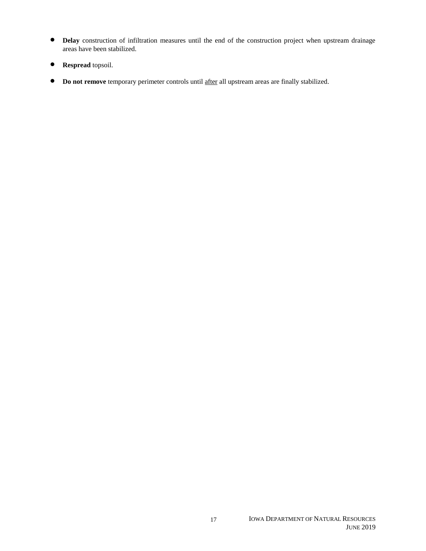- **Delay** construction of infiltration measures until the end of the construction project when upstream drainage areas have been stabilized.
- **Respread** topsoil.
- **•** Do not remove temporary perimeter controls until after all upstream areas are finally stabilized.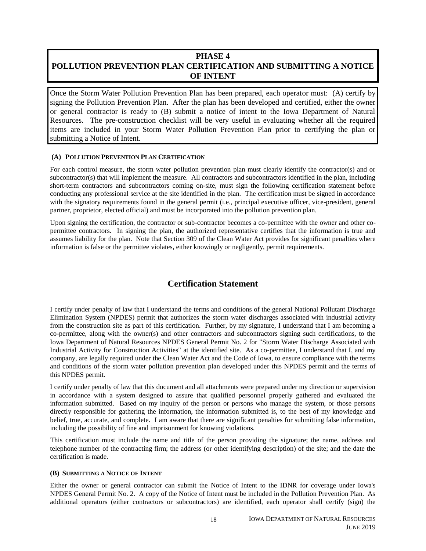### **PHASE 4 POLLUTION PREVENTION PLAN CERTIFICATION AND SUBMITTING A NOTICE OF INTENT**

Once the Storm Water Pollution Prevention Plan has been prepared, each operator must: (A) certify by signing the Pollution Prevention Plan. After the plan has been developed and certified, either the owner or general contractor is ready to (B) submit a notice of intent to the Iowa Department of Natural Resources. The pre-construction checklist will be very useful in evaluating whether all the required items are included in your Storm Water Pollution Prevention Plan prior to certifying the plan or submitting a Notice of Intent.

### **(A) POLLUTION PREVENTION PLAN CERTIFICATION**

For each control measure, the storm water pollution prevention plan must clearly identify the contractor(s) and or subcontractor(s) that will implement the measure. All contractors and subcontractors identified in the plan, including short-term contractors and subcontractors coming on-site, must sign the following certification statement before conducting any professional service at the site identified in the plan. The certification must be signed in accordance with the signatory requirements found in the general permit (i.e., principal executive officer, vice-president, general partner, proprietor, elected official) and must be incorporated into the pollution prevention plan.

Upon signing the certification, the contractor or sub-contractor becomes a co-permittee with the owner and other copermittee contractors. In signing the plan, the authorized representative certifies that the information is true and assumes liability for the plan. Note that Section 309 of the Clean Water Act provides for significant penalties where information is false or the permittee violates, either knowingly or negligently, permit requirements.

### **Certification Statement**

I certify under penalty of law that I understand the terms and conditions of the general National Pollutant Discharge Elimination System (NPDES) permit that authorizes the storm water discharges associated with industrial activity from the construction site as part of this certification. Further, by my signature, I understand that I am becoming a co-permittee, along with the owner(s) and other contractors and subcontractors signing such certifications, to the Iowa Department of Natural Resources NPDES General Permit No. 2 for "Storm Water Discharge Associated with Industrial Activity for Construction Activities" at the identified site. As a co-permittee, I understand that I, and my company, are legally required under the Clean Water Act and the Code of Iowa, to ensure compliance with the terms and conditions of the storm water pollution prevention plan developed under this NPDES permit and the terms of this NPDES permit.

I certify under penalty of law that this document and all attachments were prepared under my direction or supervision in accordance with a system designed to assure that qualified personnel properly gathered and evaluated the information submitted. Based on my inquiry of the person or persons who manage the system, or those persons directly responsible for gathering the information, the information submitted is, to the best of my knowledge and belief, true, accurate, and complete. I am aware that there are significant penalties for submitting false information, including the possibility of fine and imprisonment for knowing violations.

This certification must include the name and title of the person providing the signature; the name, address and telephone number of the contracting firm; the address (or other identifying description) of the site; and the date the certification is made.

### **(B) SUBMITTING A NOTICE OF INTENT**

Either the owner or general contractor can submit the Notice of Intent to the IDNR for coverage under Iowa's NPDES General Permit No. 2. A copy of the Notice of Intent must be included in the Pollution Prevention Plan. As additional operators (either contractors or subcontractors) are identified, each operator shall certify (sign) the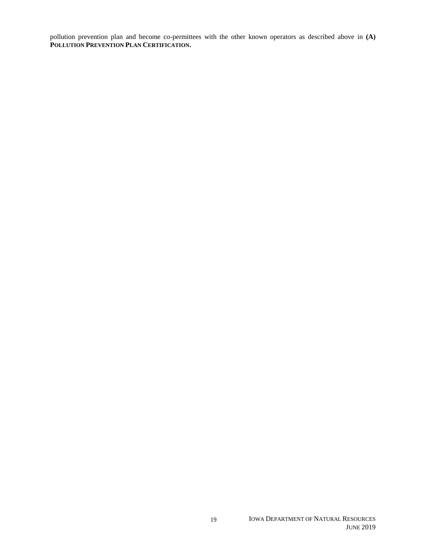pollution prevention plan and become co-permittees with the other known operators as described above in **(A) POLLUTION PREVENTION PLAN CERTIFICATION.**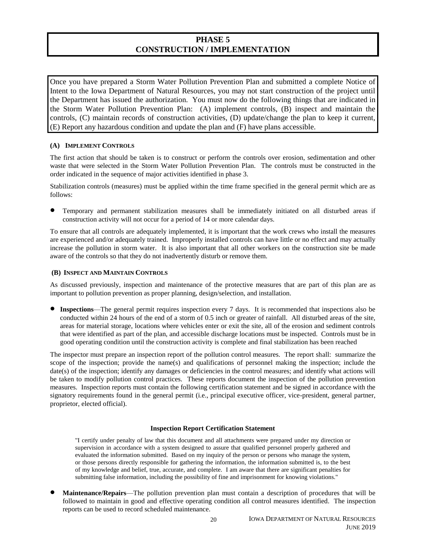### **PHASE 5 CONSTRUCTION / IMPLEMENTATION**

Once you have prepared a Storm Water Pollution Prevention Plan and submitted a complete Notice of Intent to the Iowa Department of Natural Resources, you may not start construction of the project until the Department has issued the authorization. You must now do the following things that are indicated in the Storm Water Pollution Prevention Plan: (A) implement controls, (B) inspect and maintain the controls, (C) maintain records of construction activities, (D) update/change the plan to keep it current, (E) Report any hazardous condition and update the plan and (F) have plans accessible.

### **(A) IMPLEMENT CONTROLS**

The first action that should be taken is to construct or perform the controls over erosion, sedimentation and other waste that were selected in the Storm Water Pollution Prevention Plan. The controls must be constructed in the order indicated in the sequence of major activities identified in phase 3.

Stabilization controls (measures) must be applied within the time frame specified in the general permit which are as follows:

 Temporary and permanent stabilization measures shall be immediately initiated on all disturbed areas if construction activity will not occur for a period of 14 or more calendar days.

To ensure that all controls are adequately implemented, it is important that the work crews who install the measures are experienced and/or adequately trained. Improperly installed controls can have little or no effect and may actually increase the pollution in storm water. It is also important that all other workers on the construction site be made aware of the controls so that they do not inadvertently disturb or remove them.

### **(B) INSPECT AND MAINTAIN CONTROLS**

As discussed previously, inspection and maintenance of the protective measures that are part of this plan are as important to pollution prevention as proper planning, design/selection, and installation.

 **Inspections**—The general permit requires inspection every 7 days. It is recommended that inspections also be conducted within 24 hours of the end of a storm of 0.5 inch or greater of rainfall. All disturbed areas of the site, areas for material storage, locations where vehicles enter or exit the site, all of the erosion and sediment controls that were identified as part of the plan, and accessible discharge locations must be inspected. Controls must be in good operating condition until the construction activity is complete and final stabilization has been reached

The inspector must prepare an inspection report of the pollution control measures. The report shall: summarize the scope of the inspection; provide the name(s) and qualifications of personnel making the inspection; include the date(s) of the inspection; identify any damages or deficiencies in the control measures; and identify what actions will be taken to modify pollution control practices. These reports document the inspection of the pollution prevention measures. Inspection reports must contain the following certification statement and be signed in accordance with the signatory requirements found in the general permit (i.e., principal executive officer, vice-president, general partner, proprietor, elected official).

### **Inspection Report Certification Statement**

"I certify under penalty of law that this document and all attachments were prepared under my direction or supervision in accordance with a system designed to assure that qualified personnel properly gathered and evaluated the information submitted. Based on my inquiry of the person or persons who manage the system, or those persons directly responsible for gathering the information, the information submitted is, to the best of my knowledge and belief, true, accurate, and complete. I am aware that there are significant penalties for submitting false information, including the possibility of fine and imprisonment for knowing violations."

 **Maintenance/Repairs**—The pollution prevention plan must contain a description of procedures that will be followed to maintain in good and effective operating condition all control measures identified. The inspection reports can be used to record scheduled maintenance.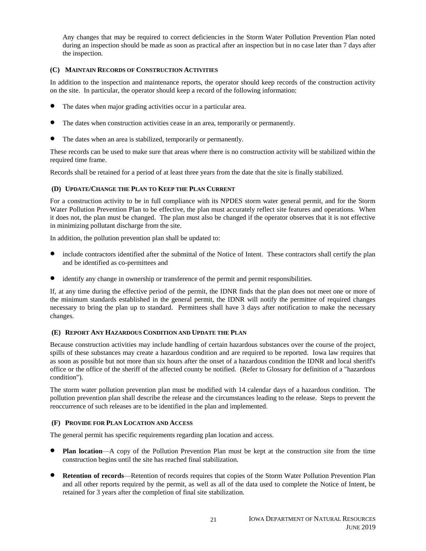Any changes that may be required to correct deficiencies in the Storm Water Pollution Prevention Plan noted during an inspection should be made as soon as practical after an inspection but in no case later than 7 days after the inspection.

### **(C) MAINTAIN RECORDS OF CONSTRUCTION ACTIVITIES**

In addition to the inspection and maintenance reports, the operator should keep records of the construction activity on the site. In particular, the operator should keep a record of the following information:

- The dates when major grading activities occur in a particular area.
- The dates when construction activities cease in an area, temporarily or permanently.
- The dates when an area is stabilized, temporarily or permanently.

These records can be used to make sure that areas where there is no construction activity will be stabilized within the required time frame.

Records shall be retained for a period of at least three years from the date that the site is finally stabilized.

### **(D) UPDATE/CHANGE THE PLAN TO KEEP THE PLAN CURRENT**

For a construction activity to be in full compliance with its NPDES storm water general permit, and for the Storm Water Pollution Prevention Plan to be effective, the plan must accurately reflect site features and operations. When it does not, the plan must be changed. The plan must also be changed if the operator observes that it is not effective in minimizing pollutant discharge from the site.

In addition, the pollution prevention plan shall be updated to:

- include contractors identified after the submittal of the Notice of Intent. These contractors shall certify the plan and be identified as co-permittees and
- identify any change in ownership or transference of the permit and permit responsibilities.

If, at any time during the effective period of the permit, the IDNR finds that the plan does not meet one or more of the minimum standards established in the general permit, the IDNR will notify the permittee of required changes necessary to bring the plan up to standard. Permittees shall have 3 days after notification to make the necessary changes.

### **(E) REPORT ANY HAZARDOUS CONDITION AND UPDATE THE PLAN**

Because construction activities may include handling of certain hazardous substances over the course of the project, spills of these substances may create a hazardous condition and are required to be reported. Iowa law requires that as soon as possible but not more than six hours after the onset of a hazardous condition the IDNR and local sheriff's office or the office of the sheriff of the affected county be notified. (Refer to Glossary for definition of a "hazardous condition").

The storm water pollution prevention plan must be modified with 14 calendar days of a hazardous condition. The pollution prevention plan shall describe the release and the circumstances leading to the release. Steps to prevent the reoccurrence of such releases are to be identified in the plan and implemented.

### **(F) PROVIDE FOR PLAN LOCATION AND ACCESS**

The general permit has specific requirements regarding plan location and access.

- **Plan location—A** copy of the Pollution Prevention Plan must be kept at the construction site from the time construction begins until the site has reached final stabilization.
- **Retention of records**—Retention of records requires that copies of the Storm Water Pollution Prevention Plan and all other reports required by the permit, as well as all of the data used to complete the Notice of Intent, be retained for 3 years after the completion of final site stabilization.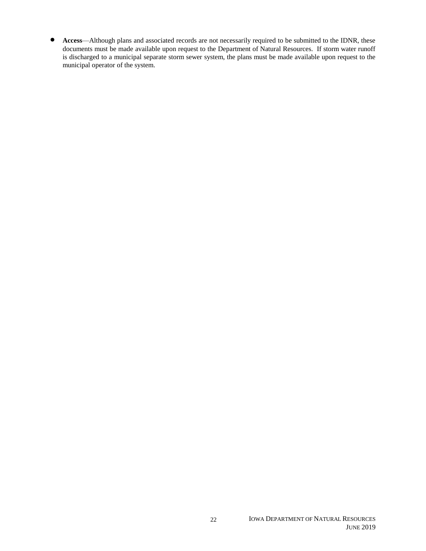**Access**—Although plans and associated records are not necessarily required to be submitted to the IDNR, these documents must be made available upon request to the Department of Natural Resources. If storm water runoff is discharged to a municipal separate storm sewer system, the plans must be made available upon request to the municipal operator of the system.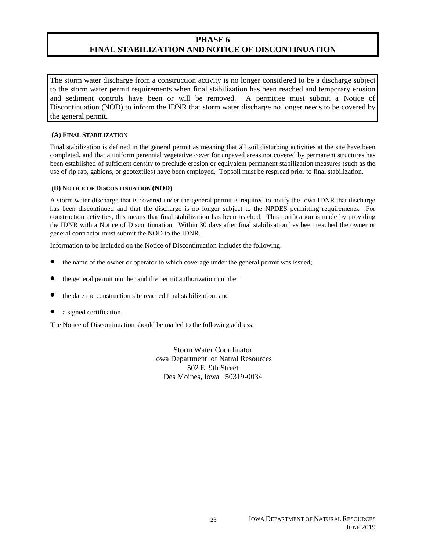### **PHASE 6 FINAL STABILIZATION AND NOTICE OF DISCONTINUATION**

The storm water discharge from a construction activity is no longer considered to be a discharge subject to the storm water permit requirements when final stabilization has been reached and temporary erosion and sediment controls have been or will be removed. A permittee must submit a Notice of Discontinuation (NOD) to inform the IDNR that storm water discharge no longer needs to be covered by the general permit.

### **(A) FINAL STABILIZATION**

Final stabilization is defined in the general permit as meaning that all soil disturbing activities at the site have been completed, and that a uniform perennial vegetative cover for unpaved areas not covered by permanent structures has been established of sufficient density to preclude erosion or equivalent permanent stabilization measures (such as the use of rip rap, gabions, or geotextiles) have been employed. Topsoil must be respread prior to final stabilization.

### **(B) NOTICE OF DISCONTINUATION (NOD)**

A storm water discharge that is covered under the general permit is required to notify the Iowa IDNR that discharge has been discontinued and that the discharge is no longer subject to the NPDES permitting requirements. For construction activities, this means that final stabilization has been reached. This notification is made by providing the IDNR with a Notice of Discontinuation. Within 30 days after final stabilization has been reached the owner or general contractor must submit the NOD to the IDNR.

Information to be included on the Notice of Discontinuation includes the following:

- the name of the owner or operator to which coverage under the general permit was issued;
- the general permit number and the permit authorization number
- the date the construction site reached final stabilization; and
- a signed certification.

The Notice of Discontinuation should be mailed to the following address:

Storm Water Coordinator Iowa Department of Natral Resources 502 E. 9th Street Des Moines, Iowa 50319-0034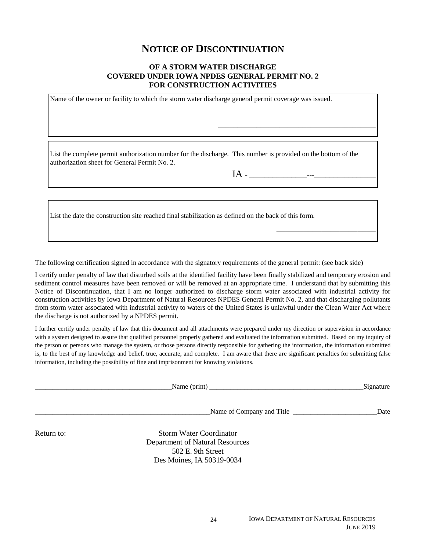### **NOTICE OF DISCONTINUATION**

### **OF A STORM WATER DISCHARGE COVERED UNDER IOWA NPDES GENERAL PERMIT NO. 2 FOR CONSTRUCTION ACTIVITIES**

Name of the owner or facility to which the storm water discharge general permit coverage was issued.

List the complete permit authorization number for the discharge. This number is provided on the bottom of the authorization sheet for General Permit No. 2.

IA - \_\_\_\_\_\_\_\_\_\_\_\_\_\_\_---\_\_\_\_\_\_\_\_\_\_\_\_\_\_\_\_

\_\_\_\_\_\_\_\_\_\_\_\_\_\_\_\_\_\_\_\_\_\_\_\_\_\_\_\_\_\_\_\_\_\_\_\_\_\_\_\_\_

 $\overline{\phantom{a}}$  , and the set of the set of the set of the set of the set of the set of the set of the set of the set of the set of the set of the set of the set of the set of the set of the set of the set of the set of the s

List the date the construction site reached final stabilization as defined on the back of this form.

The following certification signed in accordance with the signatory requirements of the general permit: (see back side)

I certify under penalty of law that disturbed soils at the identified facility have been finally stabilized and temporary erosion and sediment control measures have been removed or will be removed at an appropriate time. I understand that by submitting this Notice of Discontinuation, that I am no longer authorized to discharge storm water associated with industrial activity for construction activities by Iowa Department of Natural Resources NPDES General Permit No. 2, and that discharging pollutants from storm water associated with industrial activity to waters of the United States is unlawful under the Clean Water Act where the discharge is not authorized by a NPDES permit.

I further certify under penalty of law that this document and all attachments were prepared under my direction or supervision in accordance with a system designed to assure that qualified personnel properly gathered and evaluated the information submitted. Based on my inquiry of the person or persons who manage the system, or those persons directly responsible for gathering the information, the information submitted is, to the best of my knowledge and belief, true, accurate, and complete. I am aware that there are significant penalties for submitting false information, including the possibility of fine and imprisonment for knowing violations.

|            | Name $(\text{print})$           | Signature |
|------------|---------------------------------|-----------|
|            |                                 | Date      |
| Return to: | <b>Storm Water Coordinator</b>  |           |
|            | Department of Natural Resources |           |
|            | 502 E. 9th Street               |           |
|            | Des Moines, IA 50319-0034       |           |

24